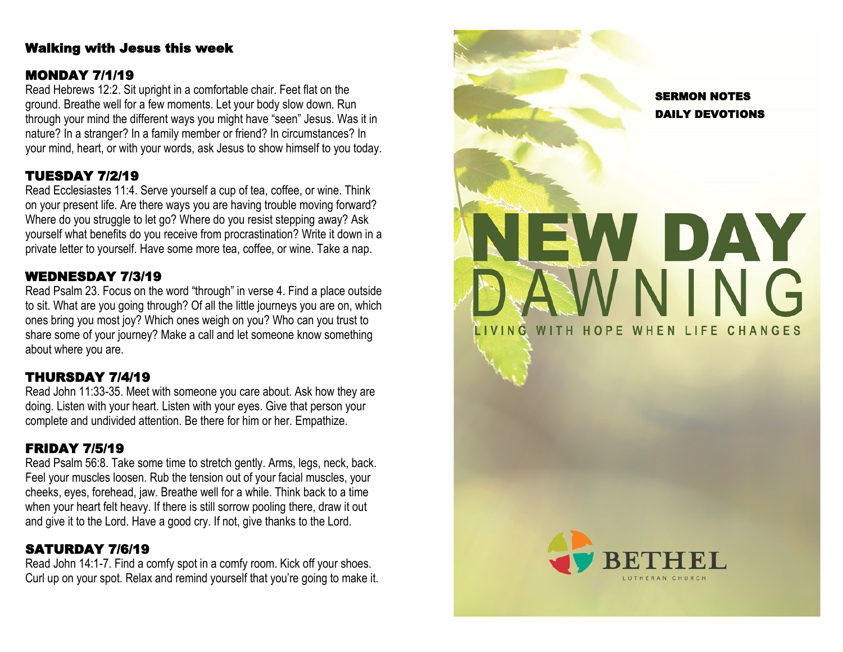#### Walking with Jesus this week

### MONDAY 7/1/19

Read Hebrews 12:2. Sit upright in a comfortable chair. Feet flat on the ground. Breathe well for a few moments. Let your body slow down. Run through your mind the different ways you might have "seen" Jesus. Was it in nature? In a stranger? In a family member or friend? In circumstances? In your mind, heart, or with your words, ask Jesus to show himself to you today.

## TUESDAY 7/2/19

Read Ecclesiastes 11:4. Serve yourself a cup of tea, coffee, or wine. Think on your present life. Are there ways you are having trouble moving forward? Where do you struggle to let go? Where do you resist stepping away? Ask yourself what benefits do you receive from procrastination? Write it down in a private letter to yourself. Have some more tea, coffee, or wine. Take a nap.

## WEDNESDAY 7/3/19

Read Psalm 23. Focus on the word "through" in verse 4. Find a place outside to sit. What are you going through? Of all the little journeys you are on, which ones bring you most joy? Which ones weigh on you? Who can you trust to share some of your journey? Make a call and let someone know something about where you are.

## THURSDAY 7/4/19

Read John 11:33 -35. Meet with someone you care about. Ask how they are doing. Listen with your heart. Listen with your eyes. Give that person your complete and undivided attention. Be there for him or her. Empathize.

## FRIDAY 7/5/19

Read Psalm 56:8. Take some time to stretch gently. Arms, legs, neck, back. Feel your muscles loosen. Rub the tension out of your facial muscles, your cheeks, eyes, forehead, jaw. Breathe well for a while. Think back to a time when your heart felt heavy. If there is still sorrow pooling there, draw it out and give it to the Lord. Have a good cry. If not, give thanks to the Lord.

## SATURDAY 7/6/19

Read John 14:1 -7. Find a comfy spot in a comfy room. Kick off your shoes. Curl up on your spot. Relax and remind yourself that you're going to make it.